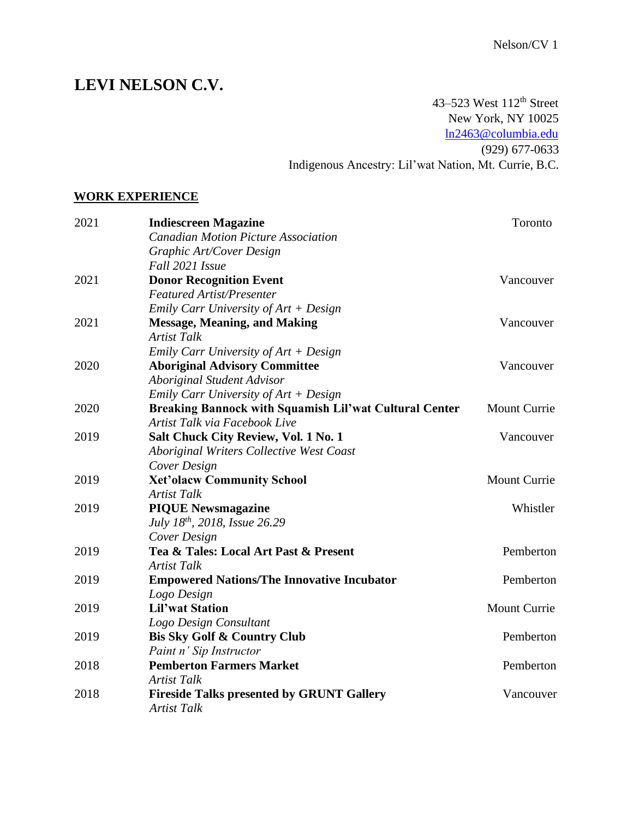# **LEVI NELSON C.V.**

43–523 West  $112^{th}$  Street New York, NY 10025 ln2463@columbia.edu (929) 677-0633 Indigenous Ancestry: Lil'wat Nation, Mt. Currie, B.C.

#### **WORK EXPERIENCE**

| 2021 | <b>Indiescreen Magazine</b>                                   | Toronto      |
|------|---------------------------------------------------------------|--------------|
|      | <b>Canadian Motion Picture Association</b>                    |              |
|      | Graphic Art/Cover Design                                      |              |
|      | Fall 2021 Issue                                               |              |
| 2021 | <b>Donor Recognition Event</b>                                | Vancouver    |
|      | <b>Featured Artist/Presenter</b>                              |              |
|      | Emily Carr University of Art + Design                         |              |
| 2021 | <b>Message, Meaning, and Making</b>                           | Vancouver    |
|      | <b>Artist Talk</b>                                            |              |
|      | Emily Carr University of $Art + Design$                       |              |
| 2020 | <b>Aboriginal Advisory Committee</b>                          | Vancouver    |
|      | <b>Aboriginal Student Advisor</b>                             |              |
|      | Emily Carr University of $Art + Design$                       |              |
| 2020 | <b>Breaking Bannock with Squamish Lil'wat Cultural Center</b> | Mount Currie |
|      | Artist Talk via Facebook Live                                 |              |
| 2019 | Salt Chuck City Review, Vol. 1 No. 1                          | Vancouver    |
|      | Aboriginal Writers Collective West Coast                      |              |
|      | Cover Design                                                  |              |
| 2019 | <b>Xet'olacw Community School</b>                             | Mount Currie |
|      | <b>Artist Talk</b>                                            |              |
| 2019 | <b>PIQUE Newsmagazine</b>                                     | Whistler     |
|      | July 18 <sup>th</sup> , 2018, Issue 26.29                     |              |
|      | Cover Design                                                  |              |
| 2019 | Tea & Tales: Local Art Past & Present                         | Pemberton    |
|      | <b>Artist Talk</b>                                            |              |
| 2019 | <b>Empowered Nations/The Innovative Incubator</b>             | Pemberton    |
|      | Logo Design                                                   |              |
| 2019 | <b>Lil'wat Station</b>                                        | Mount Currie |
|      | Logo Design Consultant                                        |              |
| 2019 | <b>Bis Sky Golf &amp; Country Club</b>                        | Pemberton    |
|      | Paint n' Sip Instructor                                       |              |
| 2018 | <b>Pemberton Farmers Market</b>                               | Pemberton    |
|      | <b>Artist Talk</b>                                            |              |
| 2018 | <b>Fireside Talks presented by GRUNT Gallery</b>              | Vancouver    |
|      | <b>Artist Talk</b>                                            |              |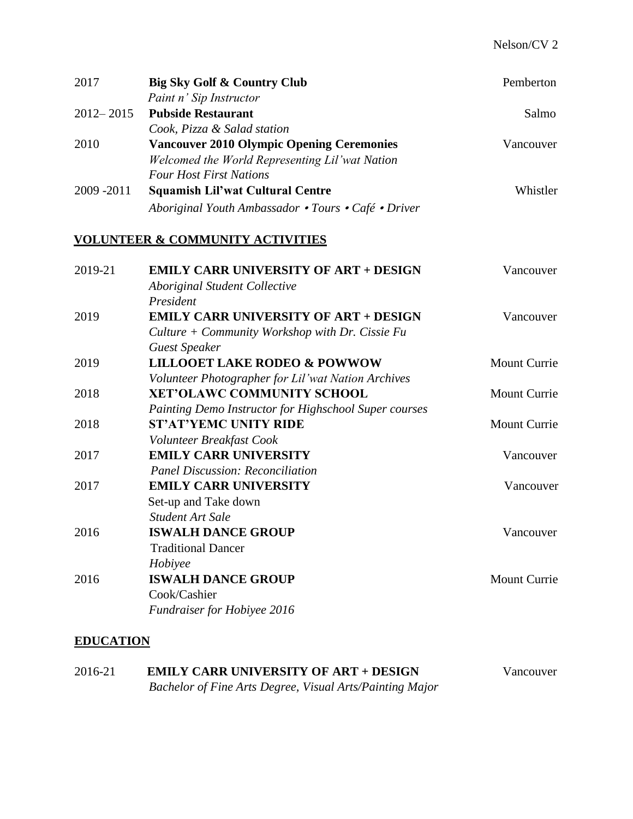| 2017          | Big Sky Golf & Country Club<br>Paint n' Sip Instructor | Pemberton    |
|---------------|--------------------------------------------------------|--------------|
| $2012 - 2015$ | <b>Pubside Restaurant</b>                              | Salmo        |
|               | Cook, Pizza & Salad station                            |              |
| 2010          | <b>Vancouver 2010 Olympic Opening Ceremonies</b>       | Vancouver    |
|               | Welcomed the World Representing Lil'wat Nation         |              |
|               | <b>Four Host First Nations</b>                         |              |
| 2009 - 2011   | <b>Squamish Lil'wat Cultural Centre</b>                | Whistler     |
|               | Aboriginal Youth Ambassador • Tours • Café • Driver    |              |
|               | <b>VOLUNTEER &amp; COMMUNITY ACTIVITIES</b>            |              |
| 2019-21       | <b>EMILY CARR UNIVERSITY OF ART + DESIGN</b>           | Vancouver    |
|               | <b>Aboriginal Student Collective</b>                   |              |
|               | President                                              |              |
| 2019          | <b>EMILY CARR UNIVERSITY OF ART + DESIGN</b>           | Vancouver    |
|               | Culture + Community Workshop with Dr. Cissie Fu        |              |
|               | <b>Guest Speaker</b>                                   |              |
| 2019          | <b>LILLOOET LAKE RODEO &amp; POWWOW</b>                | Mount Currie |
|               | Volunteer Photographer for Lil'wat Nation Archives     |              |
| 2018          | <b>XET'OLAWC COMMUNITY SCHOOL</b>                      | Mount Currie |
|               | Painting Demo Instructor for Highschool Super courses  |              |
| 2018          | <b>ST'AT'YEMC UNITY RIDE</b>                           | Mount Currie |
|               | Volunteer Breakfast Cook                               |              |
| 2017          | <b>EMILY CARR UNIVERSITY</b>                           | Vancouver    |
|               | <b>Panel Discussion: Reconciliation</b>                |              |
| 2017          | <b>EMILY CARR UNIVERSITY</b>                           | Vancouver    |
|               | Set-up and Take down                                   |              |
|               | <b>Student Art Sale</b>                                |              |
| 2016          | <b>ISWALH DANCE GROUP</b>                              | Vancouver    |
|               | <b>Traditional Dancer</b>                              |              |
|               | Hobiyee                                                |              |
| 2016          | <b>ISWALH DANCE GROUP</b>                              | Mount Currie |
|               | Cook/Cashier                                           |              |
|               | Fundraiser for Hobiyee 2016                            |              |

## **EDUCATION**

| 2016-21 | <b>EMILY CARR UNIVERSITY OF ART + DESIGN</b>             | Vancouver |
|---------|----------------------------------------------------------|-----------|
|         | Bachelor of Fine Arts Degree, Visual Arts/Painting Major |           |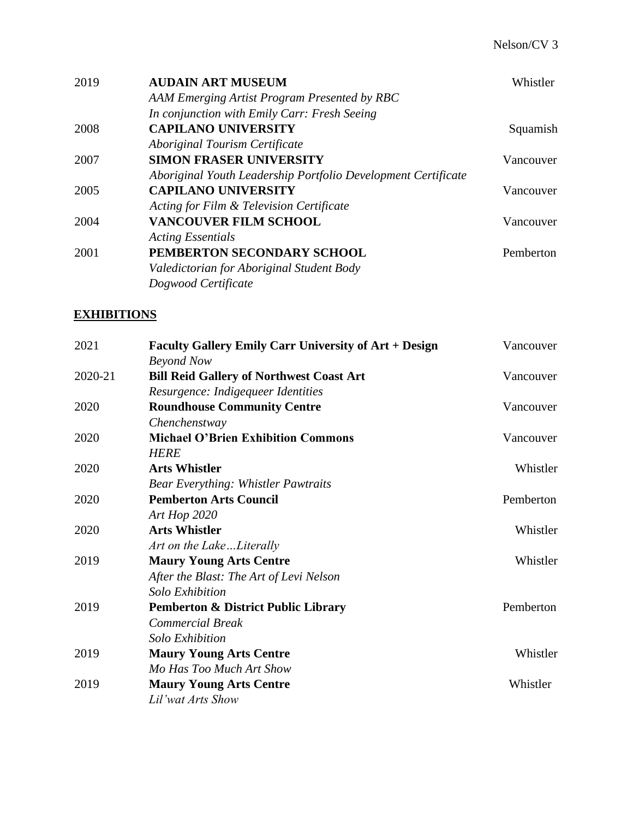| 2019 | <b>AUDAIN ART MUSEUM</b>                                      | Whistler  |
|------|---------------------------------------------------------------|-----------|
|      | AAM Emerging Artist Program Presented by RBC                  |           |
|      | In conjunction with Emily Carr: Fresh Seeing                  |           |
| 2008 | <b>CAPILANO UNIVERSITY</b>                                    | Squamish  |
|      | <b>Aboriginal Tourism Certificate</b>                         |           |
| 2007 | <b>SIMON FRASER UNIVERSITY</b>                                | Vancouver |
|      | Aboriginal Youth Leadership Portfolio Development Certificate |           |
| 2005 | <b>CAPILANO UNIVERSITY</b>                                    | Vancouver |
|      | Acting for Film & Television Certificate                      |           |
| 2004 | <b>VANCOUVER FILM SCHOOL</b>                                  | Vancouver |
|      | <b>Acting Essentials</b>                                      |           |
| 2001 | PEMBERTON SECONDARY SCHOOL                                    | Pemberton |
|      | Valedictorian for Aboriginal Student Body                     |           |
|      | Dogwood Certificate                                           |           |

## **EXHIBITIONS**

| 2021    | <b>Faculty Gallery Emily Carr University of Art + Design</b> | Vancouver |
|---------|--------------------------------------------------------------|-----------|
|         | <b>Beyond Now</b>                                            |           |
| 2020-21 | <b>Bill Reid Gallery of Northwest Coast Art</b>              | Vancouver |
|         | Resurgence: Indigequeer Identities                           |           |
| 2020    | <b>Roundhouse Community Centre</b>                           | Vancouver |
|         | Chenchenstway                                                |           |
| 2020    | <b>Michael O'Brien Exhibition Commons</b>                    | Vancouver |
|         | <b>HERE</b>                                                  |           |
| 2020    | <b>Arts Whistler</b>                                         | Whistler  |
|         | <b>Bear Everything: Whistler Pawtraits</b>                   |           |
| 2020    | <b>Pemberton Arts Council</b>                                | Pemberton |
|         | Art Hop 2020                                                 |           |
| 2020    | <b>Arts Whistler</b>                                         | Whistler  |
|         | Art on the LakeLiterally                                     |           |
| 2019    | <b>Maury Young Arts Centre</b>                               | Whistler  |
|         | After the Blast: The Art of Levi Nelson                      |           |
|         | <b>Solo Exhibition</b>                                       |           |
| 2019    | <b>Pemberton &amp; District Public Library</b>               | Pemberton |
|         | <b>Commercial Break</b>                                      |           |
|         | <b>Solo Exhibition</b>                                       |           |
| 2019    | <b>Maury Young Arts Centre</b>                               | Whistler  |
|         | Mo Has Too Much Art Show                                     |           |
| 2019    | <b>Maury Young Arts Centre</b>                               | Whistler  |
|         | Lil'wat Arts Show                                            |           |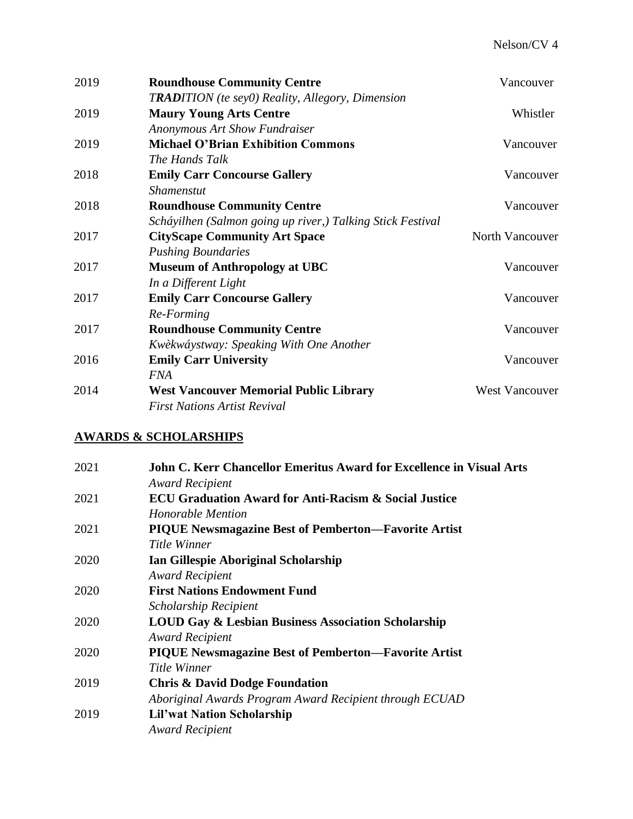| 2019 | <b>Roundhouse Community Centre</b>                         | Vancouver             |
|------|------------------------------------------------------------|-----------------------|
|      | <b>TRADITION</b> (te sey0) Reality, Allegory, Dimension    |                       |
| 2019 | <b>Maury Young Arts Centre</b>                             | Whistler              |
|      | <b>Anonymous Art Show Fundraiser</b>                       |                       |
| 2019 | <b>Michael O'Brian Exhibition Commons</b>                  | Vancouver             |
|      | The Hands Talk                                             |                       |
| 2018 | <b>Emily Carr Concourse Gallery</b>                        | Vancouver             |
|      | <b>Shamenstut</b>                                          |                       |
| 2018 | <b>Roundhouse Community Centre</b>                         | Vancouver             |
|      | Scháyilhen (Salmon going up river,) Talking Stick Festival |                       |
| 2017 | <b>CityScape Community Art Space</b>                       | North Vancouver       |
|      | <b>Pushing Boundaries</b>                                  |                       |
| 2017 | <b>Museum of Anthropology at UBC</b>                       | Vancouver             |
|      | In a Different Light                                       |                       |
| 2017 | <b>Emily Carr Concourse Gallery</b>                        | Vancouver             |
|      | Re-Forming                                                 |                       |
| 2017 | <b>Roundhouse Community Centre</b>                         | Vancouver             |
|      | Kwèkwáystway: Speaking With One Another                    |                       |
| 2016 | <b>Emily Carr University</b>                               | Vancouver             |
|      | <b>FNA</b>                                                 |                       |
| 2014 | <b>West Vancouver Memorial Public Library</b>              | <b>West Vancouver</b> |
|      | <b>First Nations Artist Revival</b>                        |                       |

## **AWARDS & SCHOLARSHIPS**

| 2021 | <b>John C. Kerr Chancellor Emeritus Award for Excellence in Visual Arts</b> |
|------|-----------------------------------------------------------------------------|
|      | <b>Award Recipient</b>                                                      |
| 2021 | <b>ECU Graduation Award for Anti-Racism &amp; Social Justice</b>            |
|      | Honorable Mention                                                           |
| 2021 | <b>PIQUE Newsmagazine Best of Pemberton—Favorite Artist</b>                 |
|      | Title Winner                                                                |
| 2020 | Ian Gillespie Aboriginal Scholarship                                        |
|      | <b>Award Recipient</b>                                                      |
| 2020 | <b>First Nations Endowment Fund</b>                                         |
|      | <b>Scholarship Recipient</b>                                                |
| 2020 | <b>LOUD Gay &amp; Lesbian Business Association Scholarship</b>              |
|      | <b>Award Recipient</b>                                                      |
| 2020 | <b>PIQUE Newsmagazine Best of Pemberton—Favorite Artist</b>                 |
|      | Title Winner                                                                |
| 2019 | <b>Chris &amp; David Dodge Foundation</b>                                   |
|      | Aboriginal Awards Program Award Recipient through ECUAD                     |
| 2019 | <b>Lil'wat Nation Scholarship</b>                                           |
|      | <b>Award Recipient</b>                                                      |
|      |                                                                             |